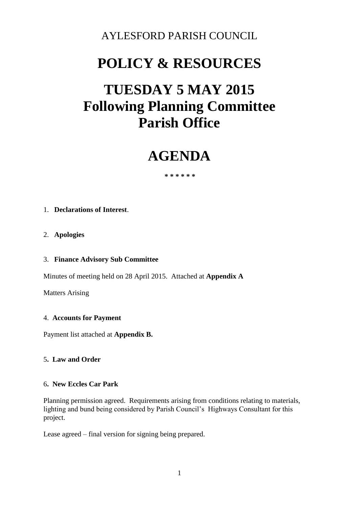### AYLESFORD PARISH COUNCIL

# **POLICY & RESOURCES**

# **TUESDAY 5 MAY 2015 Following Planning Committee Parish Office**

## **AGENDA**

 **\* \* \* \* \* \*** 

#### 1. **Declarations of Interest**.

#### 2. **Apologies**

#### 3. **Finance Advisory Sub Committee**

Minutes of meeting held on 28 April 2015. Attached at **Appendix A**

Matters Arising

#### 4. **Accounts for Payment**

Payment list attached at **Appendix B.** 

#### 5**. Law and Order**

#### 6**. New Eccles Car Park**

Planning permission agreed. Requirements arising from conditions relating to materials, lighting and bund being considered by Parish Council's Highways Consultant for this project.

Lease agreed – final version for signing being prepared.